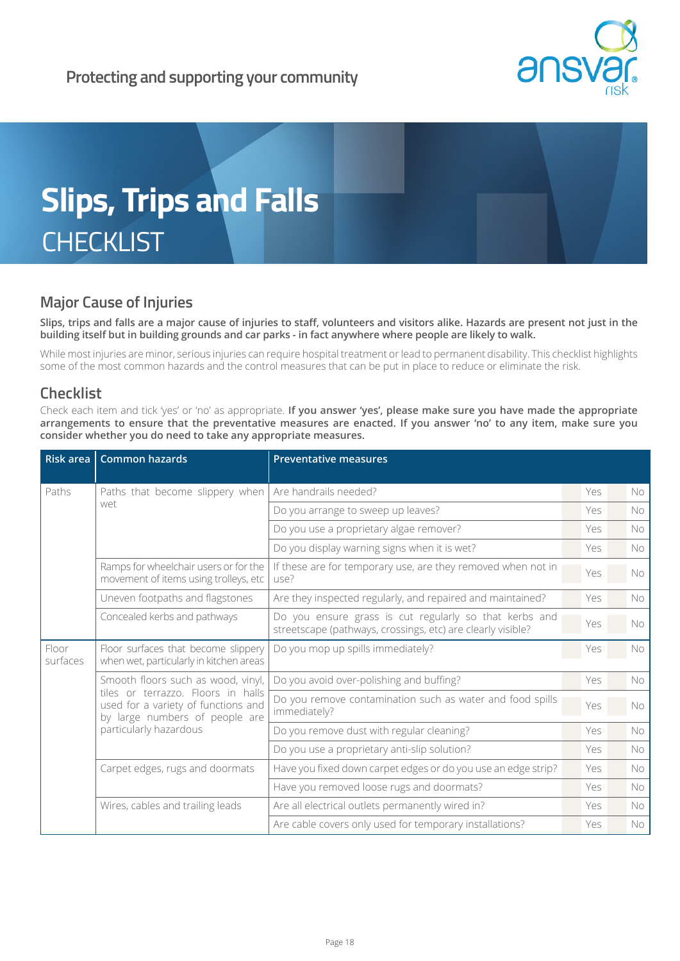



# **Major Cause of Injuries**

**Slips, trips and falls are a major cause of injuries to staff, volunteers and visitors alike. Hazards are present not just in the building itself but in building grounds and car parks - in fact anywhere where people are likely to walk.**

While most injuries are minor, serious injuries can require hospital treatment or lead to permanent disability. This checklist highlights some of the most common hazards and the control measures that can be put in place to reduce or eliminate the risk.

## **Checklist**

Check each item and tick 'yes' or 'no' as appropriate. **If you answer 'yes', please make sure you have made the appropriate arrangements to ensure that the preventative measures are enacted. If you answer 'no' to any item, make sure you consider whether you do need to take any appropriate measures.**

| Risk area         | <b>Common hazards</b>                                                                                                                                                       | <b>Preventative measures</b>                                                                                          |     |           |
|-------------------|-----------------------------------------------------------------------------------------------------------------------------------------------------------------------------|-----------------------------------------------------------------------------------------------------------------------|-----|-----------|
| Paths             | Paths that become slippery when<br>wet                                                                                                                                      | Are handrails needed?                                                                                                 | Yes | No.       |
|                   |                                                                                                                                                                             | Do you arrange to sweep up leaves?                                                                                    | Yes | No.       |
|                   |                                                                                                                                                                             | Do you use a proprietary algae remover?                                                                               | Yes | <b>No</b> |
|                   |                                                                                                                                                                             | Do you display warning signs when it is wet?                                                                          | Yes | <b>No</b> |
|                   | Ramps for wheelchair users or for the<br>movement of items using trolleys, etc                                                                                              | If these are for temporary use, are they removed when not in<br>use?                                                  | Yes | No        |
|                   | Uneven footpaths and flagstones                                                                                                                                             | Are they inspected regularly, and repaired and maintained?                                                            | Yes | No.       |
|                   | Concealed kerbs and pathways                                                                                                                                                | Do you ensure grass is cut regularly so that kerbs and<br>streetscape (pathways, crossings, etc) are clearly visible? | Yes | No        |
| Floor<br>surfaces | Floor surfaces that become slippery<br>when wet, particularly in kitchen areas                                                                                              | Do you mop up spills immediately?                                                                                     | Yes | <b>No</b> |
|                   | Smooth floors such as wood, vinyl,<br>tiles or terrazzo. Floors in halls<br>used for a variety of functions and<br>by large numbers of people are<br>particularly hazardous | Do you avoid over-polishing and buffing?                                                                              | Yes | No        |
|                   |                                                                                                                                                                             | Do you remove contamination such as water and food spills<br>immediately?                                             | Yes | No        |
|                   |                                                                                                                                                                             | Do you remove dust with regular cleaning?                                                                             | Yes | No.       |
|                   |                                                                                                                                                                             | Do you use a proprietary anti-slip solution?                                                                          | Yes | No.       |
|                   | Carpet edges, rugs and doormats                                                                                                                                             | Have you fixed down carpet edges or do you use an edge strip?                                                         | Yes | <b>No</b> |
|                   |                                                                                                                                                                             | Have you removed loose rugs and doormats?                                                                             | Yes | No.       |
|                   | Wires, cables and trailing leads                                                                                                                                            | Are all electrical outlets permanently wired in?                                                                      | Yes | No        |
|                   |                                                                                                                                                                             | Are cable covers only used for temporary installations?                                                               | Yes | No        |